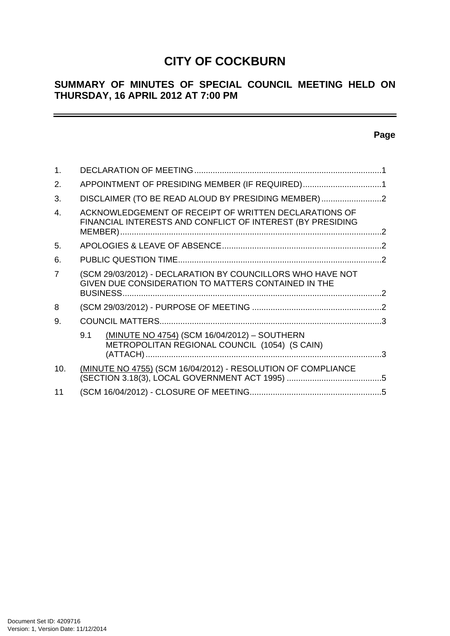# **CITY OF COCKBURN**

# **SUMMARY OF MINUTES OF SPECIAL COUNCIL MEETING HELD ON THURSDAY, 16 APRIL 2012 AT 7:00 PM**

# **Page**

| $\mathbf 1$    |                                                                                                                     |          |  |  |  |
|----------------|---------------------------------------------------------------------------------------------------------------------|----------|--|--|--|
| 2.             | APPOINTMENT OF PRESIDING MEMBER (IF REQUIRED)1                                                                      |          |  |  |  |
| 3.             | DISCLAIMER (TO BE READ ALOUD BY PRESIDING MEMBER)2                                                                  |          |  |  |  |
| $\overline{4}$ | ACKNOWLEDGEMENT OF RECEIPT OF WRITTEN DECLARATIONS OF<br>FINANCIAL INTERESTS AND CONFLICT OF INTEREST (BY PRESIDING |          |  |  |  |
| 5.             |                                                                                                                     |          |  |  |  |
| 6.             |                                                                                                                     |          |  |  |  |
| $\overline{7}$ | (SCM 29/03/2012) - DECLARATION BY COUNCILLORS WHO HAVE NOT<br>GIVEN DUE CONSIDERATION TO MATTERS CONTAINED IN THE   |          |  |  |  |
| 8              |                                                                                                                     |          |  |  |  |
| 9.             |                                                                                                                     |          |  |  |  |
|                | (MINUTE NO 4754) (SCM 16/04/2012) - SOUTHERN<br>9.1<br>METROPOLITAN REGIONAL COUNCIL (1054) (S CAIN)                | $\sim$ 3 |  |  |  |
| 10.            | (MINUTE NO 4755) (SCM 16/04/2012) - RESOLUTION OF COMPLIANCE                                                        |          |  |  |  |
| 11             |                                                                                                                     |          |  |  |  |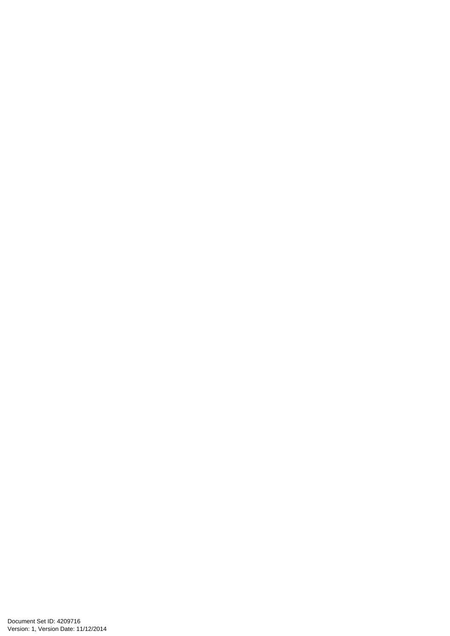Document Set ID: 4209716<br>Version: 1, Version Date: 11/12/2014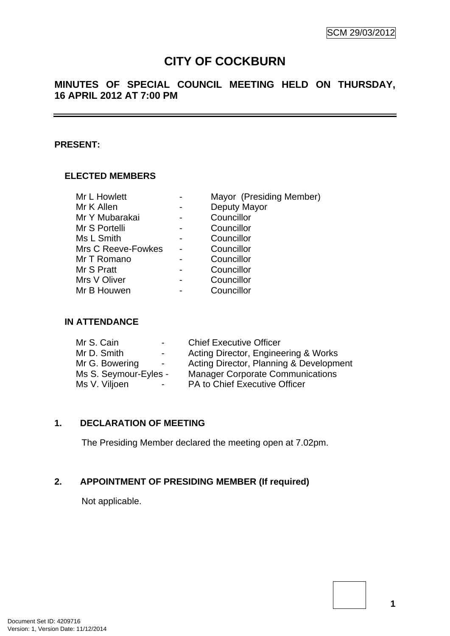# **CITY OF COCKBURN**

# **MINUTES OF SPECIAL COUNCIL MEETING HELD ON THURSDAY, 16 APRIL 2012 AT 7:00 PM**

# **PRESENT:**

### **ELECTED MEMBERS**

| Mr L Howlett       | Mayor (Presiding Member) |
|--------------------|--------------------------|
| Mr K Allen         | Deputy Mayor             |
| Mr Y Mubarakai     | Councillor               |
| Mr S Portelli      | Councillor               |
| Ms L Smith         | Councillor               |
| Mrs C Reeve-Fowkes | Councillor               |
| Mr T Romano        | Councillor               |
| Mr S Pratt         | Councillor               |
| Mrs V Oliver       | Councillor               |
| Mr B Houwen        | Councillor               |

# **IN ATTENDANCE**

| $\sim$ 100 $\mu$      | <b>Chief Executive Officer</b>          |
|-----------------------|-----------------------------------------|
| $\sim$                | Acting Director, Engineering & Works    |
| $\sim$                | Acting Director, Planning & Development |
| Ms S. Seymour-Eyles - | <b>Manager Corporate Communications</b> |
| $\sim$                | PA to Chief Executive Officer           |
|                       |                                         |

# **1. DECLARATION OF MEETING**

The Presiding Member declared the meeting open at 7.02pm.

# **2. APPOINTMENT OF PRESIDING MEMBER (If required)**

Not applicable.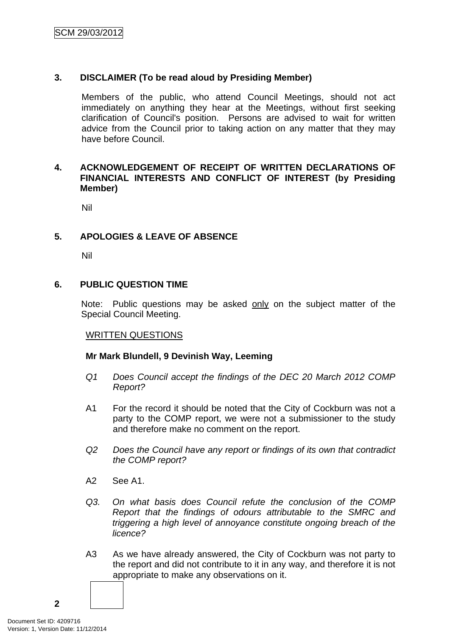# **3. DISCLAIMER (To be read aloud by Presiding Member)**

Members of the public, who attend Council Meetings, should not act immediately on anything they hear at the Meetings, without first seeking clarification of Council's position. Persons are advised to wait for written advice from the Council prior to taking action on any matter that they may have before Council.

# **4. ACKNOWLEDGEMENT OF RECEIPT OF WRITTEN DECLARATIONS OF FINANCIAL INTERESTS AND CONFLICT OF INTEREST (by Presiding Member)**

Nil

# **5. APOLOGIES & LEAVE OF ABSENCE**

Nil

# **6. PUBLIC QUESTION TIME**

 Note: Public questions may be asked only on the subject matter of the Special Council Meeting.

# WRITTEN QUESTIONS

#### **Mr Mark Blundell, 9 Devinish Way, Leeming**

- *Q1 Does Council accept the findings of the DEC 20 March 2012 COMP Report?*
- A1 For the record it should be noted that the City of Cockburn was not a party to the COMP report, we were not a submissioner to the study and therefore make no comment on the report.
- *Q2 Does the Council have any report or findings of its own that contradict the COMP report?*
- A2 See A1.
- *Q3. On what basis does Council refute the conclusion of the COMP Report that the findings of odours attributable to the SMRC and triggering a high level of annoyance constitute ongoing breach of the licence?*
- A3 As we have already answered, the City of Cockburn was not party to the report and did not contribute to it in any way, and therefore it is not appropriate to make any observations on it.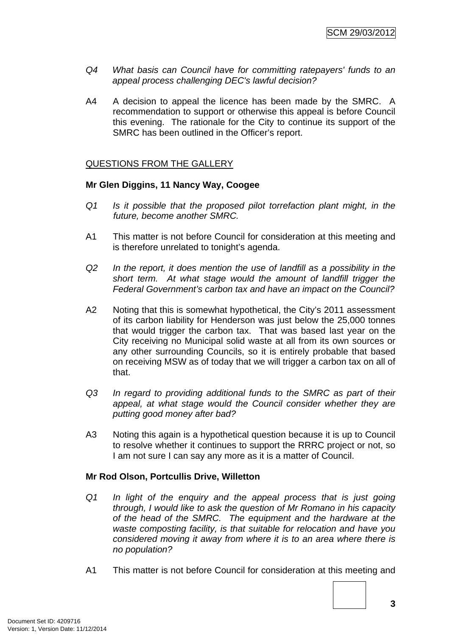- *Q4 What basis can Council have for committing ratepayers' funds to an appeal process challenging DEC's lawful decision?*
- A4 A decision to appeal the licence has been made by the SMRC. A recommendation to support or otherwise this appeal is before Council this evening. The rationale for the City to continue its support of the SMRC has been outlined in the Officer's report.

# QUESTIONS FROM THE GALLERY

# **Mr Glen Diggins, 11 Nancy Way, Coogee**

- *Q1 Is it possible that the proposed pilot torrefaction plant might, in the future, become another SMRC.*
- A1 This matter is not before Council for consideration at this meeting and is therefore unrelated to tonight's agenda.
- *Q2 In the report, it does mention the use of landfill as a possibility in the short term. At what stage would the amount of landfill trigger the Federal Government's carbon tax and have an impact on the Council?*
- A2 Noting that this is somewhat hypothetical, the City's 2011 assessment of its carbon liability for Henderson was just below the 25,000 tonnes that would trigger the carbon tax. That was based last year on the City receiving no Municipal solid waste at all from its own sources or any other surrounding Councils, so it is entirely probable that based on receiving MSW as of today that we will trigger a carbon tax on all of that.
- *Q3 In regard to providing additional funds to the SMRC as part of their appeal, at what stage would the Council consider whether they are putting good money after bad?*
- A3 Noting this again is a hypothetical question because it is up to Council to resolve whether it continues to support the RRRC project or not, so I am not sure I can say any more as it is a matter of Council.

# **Mr Rod Olson, Portcullis Drive, Willetton**

- *Q1 In light of the enquiry and the appeal process that is just going through, I would like to ask the question of Mr Romano in his capacity of the head of the SMRC. The equipment and the hardware at the waste composting facility, is that suitable for relocation and have you considered moving it away from where it is to an area where there is no population?*
- A1 This matter is not before Council for consideration at this meeting and

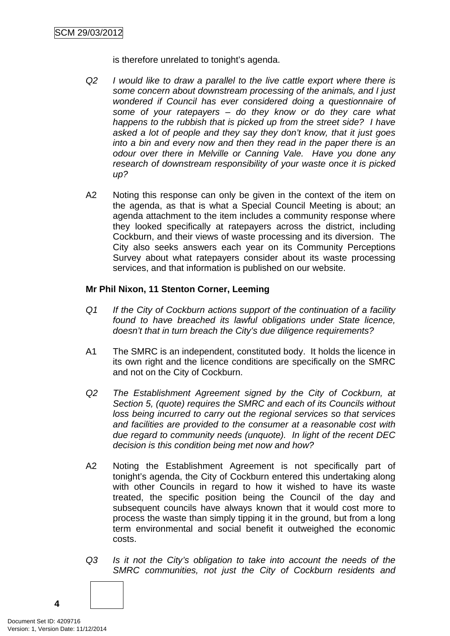is therefore unrelated to tonight's agenda.

- *Q2 I would like to draw a parallel to the live cattle export where there is some concern about downstream processing of the animals, and I just wondered if Council has ever considered doing a questionnaire of some of your ratepayers – do they know or do they care what happens to the rubbish that is picked up from the street side? I have asked a lot of people and they say they don't know, that it just goes into a bin and every now and then they read in the paper there is an odour over there in Melville or Canning Vale. Have you done any research of downstream responsibility of your waste once it is picked up?*
- A2 Noting this response can only be given in the context of the item on the agenda, as that is what a Special Council Meeting is about; an agenda attachment to the item includes a community response where they looked specifically at ratepayers across the district, including Cockburn, and their views of waste processing and its diversion. The City also seeks answers each year on its Community Perceptions Survey about what ratepayers consider about its waste processing services, and that information is published on our website.

# **Mr Phil Nixon, 11 Stenton Corner, Leeming**

- *Q1 If the City of Cockburn actions support of the continuation of a facility found to have breached its lawful obligations under State licence, doesn't that in turn breach the City's due diligence requirements?*
- A1 The SMRC is an independent, constituted body. It holds the licence in its own right and the licence conditions are specifically on the SMRC and not on the City of Cockburn.
- *Q2 The Establishment Agreement signed by the City of Cockburn, at Section 5, (quote) requires the SMRC and each of its Councils without loss being incurred to carry out the regional services so that services and facilities are provided to the consumer at a reasonable cost with due regard to community needs (unquote). In light of the recent DEC decision is this condition being met now and how?*
- A2 Noting the Establishment Agreement is not specifically part of tonight's agenda, the City of Cockburn entered this undertaking along with other Councils in regard to how it wished to have its waste treated, the specific position being the Council of the day and subsequent councils have always known that it would cost more to process the waste than simply tipping it in the ground, but from a long term environmental and social benefit it outweighed the economic costs.
- *Q3 Is it not the City's obligation to take into account the needs of the SMRC communities, not just the City of Cockburn residents and*

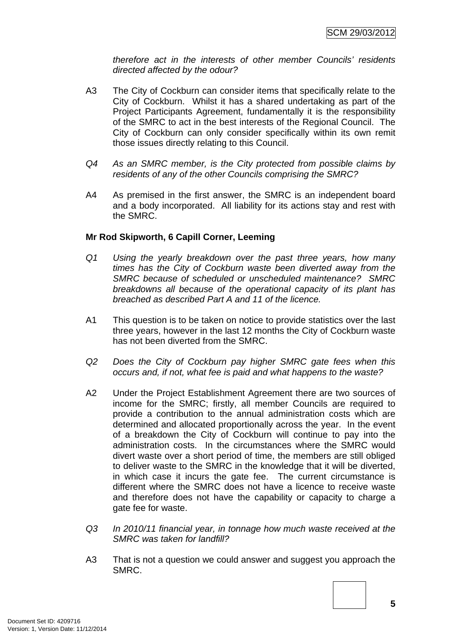*therefore act in the interests of other member Councils' residents directed affected by the odour?* 

- A3 The City of Cockburn can consider items that specifically relate to the City of Cockburn. Whilst it has a shared undertaking as part of the Project Participants Agreement, fundamentally it is the responsibility of the SMRC to act in the best interests of the Regional Council. The City of Cockburn can only consider specifically within its own remit those issues directly relating to this Council.
- *Q4 As an SMRC member, is the City protected from possible claims by residents of any of the other Councils comprising the SMRC?*
- A4 As premised in the first answer, the SMRC is an independent board and a body incorporated. All liability for its actions stay and rest with the SMRC.

# **Mr Rod Skipworth, 6 Capill Corner, Leeming**

- *Q1 Using the yearly breakdown over the past three years, how many times has the City of Cockburn waste been diverted away from the SMRC because of scheduled or unscheduled maintenance? SMRC breakdowns all because of the operational capacity of its plant has breached as described Part A and 11 of the licence.*
- A1 This question is to be taken on notice to provide statistics over the last three years, however in the last 12 months the City of Cockburn waste has not been diverted from the SMRC.
- *Q2 Does the City of Cockburn pay higher SMRC gate fees when this occurs and, if not, what fee is paid and what happens to the waste?*
- A2 Under the Project Establishment Agreement there are two sources of income for the SMRC; firstly, all member Councils are required to provide a contribution to the annual administration costs which are determined and allocated proportionally across the year. In the event of a breakdown the City of Cockburn will continue to pay into the administration costs. In the circumstances where the SMRC would divert waste over a short period of time, the members are still obliged to deliver waste to the SMRC in the knowledge that it will be diverted, in which case it incurs the gate fee. The current circumstance is different where the SMRC does not have a licence to receive waste and therefore does not have the capability or capacity to charge a gate fee for waste.
- *Q3 In 2010/11 financial year, in tonnage how much waste received at the SMRC was taken for landfill?*
- A3 That is not a question we could answer and suggest you approach the SMRC.

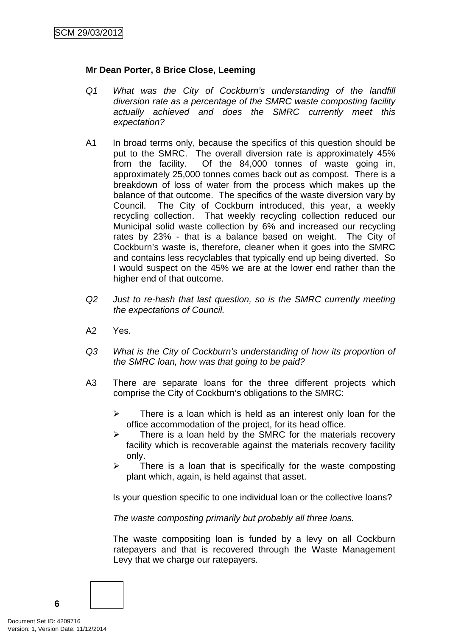# **Mr Dean Porter, 8 Brice Close, Leeming**

- *Q1 What was the City of Cockburn's understanding of the landfill diversion rate as a percentage of the SMRC waste composting facility actually achieved and does the SMRC currently meet this expectation?*
- A1 In broad terms only, because the specifics of this question should be put to the SMRC. The overall diversion rate is approximately 45% from the facility. Of the 84,000 tonnes of waste going in, approximately 25,000 tonnes comes back out as compost. There is a breakdown of loss of water from the process which makes up the balance of that outcome. The specifics of the waste diversion vary by Council. The City of Cockburn introduced, this year, a weekly recycling collection. That weekly recycling collection reduced our Municipal solid waste collection by 6% and increased our recycling rates by 23% - that is a balance based on weight. The City of Cockburn's waste is, therefore, cleaner when it goes into the SMRC and contains less recyclables that typically end up being diverted. So I would suspect on the 45% we are at the lower end rather than the higher end of that outcome.
- *Q2 Just to re-hash that last question, so is the SMRC currently meeting the expectations of Council.*
- A2 Yes.
- *Q3 What is the City of Cockburn's understanding of how its proportion of the SMRC loan, how was that going to be paid?*
- A3 There are separate loans for the three different projects which comprise the City of Cockburn's obligations to the SMRC:
	- $\triangleright$  There is a loan which is held as an interest only loan for the office accommodation of the project, for its head office.
	- $\triangleright$  There is a loan held by the SMRC for the materials recovery facility which is recoverable against the materials recovery facility only.
	- $\triangleright$  There is a loan that is specifically for the waste composting plant which, again, is held against that asset.

Is your question specific to one individual loan or the collective loans?

 *The waste composting primarily but probably all three loans.* 

 The waste compositing loan is funded by a levy on all Cockburn ratepayers and that is recovered through the Waste Management Levy that we charge our ratepayers.

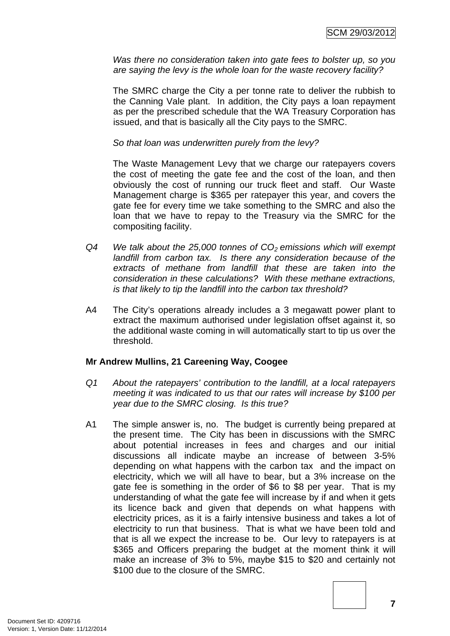*Was there no consideration taken into gate fees to bolster up, so you are saying the levy is the whole loan for the waste recovery facility?* 

 The SMRC charge the City a per tonne rate to deliver the rubbish to the Canning Vale plant. In addition, the City pays a loan repayment as per the prescribed schedule that the WA Treasury Corporation has issued, and that is basically all the City pays to the SMRC.

#### *So that loan was underwritten purely from the levy?*

 The Waste Management Levy that we charge our ratepayers covers the cost of meeting the gate fee and the cost of the loan, and then obviously the cost of running our truck fleet and staff. Our Waste Management charge is \$365 per ratepayer this year, and covers the gate fee for every time we take something to the SMRC and also the loan that we have to repay to the Treasury via the SMRC for the compositing facility.

- *Q4 We talk about the 25,000 tonnes of CO2 emissions which will exempt landfill from carbon tax. Is there any consideration because of the extracts of methane from landfill that these are taken into the consideration in these calculations? With these methane extractions, is that likely to tip the landfill into the carbon tax threshold?*
- A4 The City's operations already includes a 3 megawatt power plant to extract the maximum authorised under legislation offset against it, so the additional waste coming in will automatically start to tip us over the threshold.

# **Mr Andrew Mullins, 21 Careening Way, Coogee**

- *Q1 About the ratepayers' contribution to the landfill, at a local ratepayers meeting it was indicated to us that our rates will increase by \$100 per year due to the SMRC closing. Is this true?*
- A1 The simple answer is, no. The budget is currently being prepared at the present time. The City has been in discussions with the SMRC about potential increases in fees and charges and our initial discussions all indicate maybe an increase of between 3-5% depending on what happens with the carbon tax and the impact on electricity, which we will all have to bear, but a 3% increase on the gate fee is something in the order of \$6 to \$8 per year. That is my understanding of what the gate fee will increase by if and when it gets its licence back and given that depends on what happens with electricity prices, as it is a fairly intensive business and takes a lot of electricity to run that business. That is what we have been told and that is all we expect the increase to be. Our levy to ratepayers is at \$365 and Officers preparing the budget at the moment think it will make an increase of 3% to 5%, maybe \$15 to \$20 and certainly not \$100 due to the closure of the SMRC.

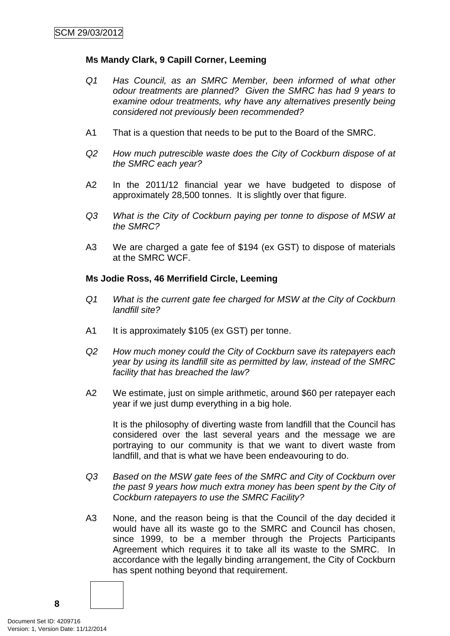# **Ms Mandy Clark, 9 Capill Corner, Leeming**

- *Q1 Has Council, as an SMRC Member, been informed of what other odour treatments are planned? Given the SMRC has had 9 years to examine odour treatments, why have any alternatives presently being considered not previously been recommended?*
- A1 That is a question that needs to be put to the Board of the SMRC.
- *Q2 How much putrescible waste does the City of Cockburn dispose of at the SMRC each year?*
- A2 In the 2011/12 financial year we have budgeted to dispose of approximately 28,500 tonnes. It is slightly over that figure.
- *Q3 What is the City of Cockburn paying per tonne to dispose of MSW at the SMRC?*
- A3 We are charged a gate fee of \$194 (ex GST) to dispose of materials at the SMRC WCF.

#### **Ms Jodie Ross, 46 Merrifield Circle, Leeming**

- *Q1 What is the current gate fee charged for MSW at the City of Cockburn landfill site?*
- A1 It is approximately \$105 (ex GST) per tonne.
- *Q2 How much money could the City of Cockburn save its ratepayers each year by using its landfill site as permitted by law, instead of the SMRC facility that has breached the law?*
- A2 We estimate, just on simple arithmetic, around \$60 per ratepayer each year if we just dump everything in a big hole.

 It is the philosophy of diverting waste from landfill that the Council has considered over the last several years and the message we are portraying to our community is that we want to divert waste from landfill, and that is what we have been endeavouring to do.

- *Q3 Based on the MSW gate fees of the SMRC and City of Cockburn over the past 9 years how much extra money has been spent by the City of Cockburn ratepayers to use the SMRC Facility?*
- A3 None, and the reason being is that the Council of the day decided it would have all its waste go to the SMRC and Council has chosen, since 1999, to be a member through the Projects Participants Agreement which requires it to take all its waste to the SMRC. In accordance with the legally binding arrangement, the City of Cockburn has spent nothing beyond that requirement.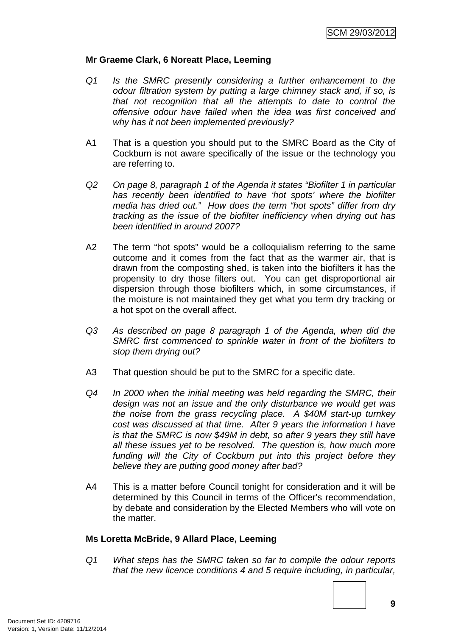# **Mr Graeme Clark, 6 Noreatt Place, Leeming**

- *Q1 Is the SMRC presently considering a further enhancement to the odour filtration system by putting a large chimney stack and, if so, is that not recognition that all the attempts to date to control the offensive odour have failed when the idea was first conceived and why has it not been implemented previously?*
- A1 That is a question you should put to the SMRC Board as the City of Cockburn is not aware specifically of the issue or the technology you are referring to.
- *Q2 On page 8, paragraph 1 of the Agenda it states "Biofilter 1 in particular has recently been identified to have 'hot spots' where the biofilter media has dried out." How does the term "hot spots" differ from dry tracking as the issue of the biofilter inefficiency when drying out has been identified in around 2007?*
- A2 The term "hot spots" would be a colloquialism referring to the same outcome and it comes from the fact that as the warmer air, that is drawn from the composting shed, is taken into the biofilters it has the propensity to dry those filters out. You can get disproportional air dispersion through those biofilters which, in some circumstances, if the moisture is not maintained they get what you term dry tracking or a hot spot on the overall affect.
- *Q3 As described on page 8 paragraph 1 of the Agenda, when did the SMRC first commenced to sprinkle water in front of the biofilters to stop them drying out?*
- A3 That question should be put to the SMRC for a specific date.
- *Q4 In 2000 when the initial meeting was held regarding the SMRC, their design was not an issue and the only disturbance we would get was the noise from the grass recycling place. A \$40M start-up turnkey cost was discussed at that time. After 9 years the information I have is that the SMRC is now \$49M in debt, so after 9 years they still have all these issues yet to be resolved. The question is, how much more funding will the City of Cockburn put into this project before they believe they are putting good money after bad?*
- A4 This is a matter before Council tonight for consideration and it will be determined by this Council in terms of the Officer's recommendation, by debate and consideration by the Elected Members who will vote on the matter.

# **Ms Loretta McBride, 9 Allard Place, Leeming**

*Q1 What steps has the SMRC taken so far to compile the odour reports that the new licence conditions 4 and 5 require including, in particular,* 

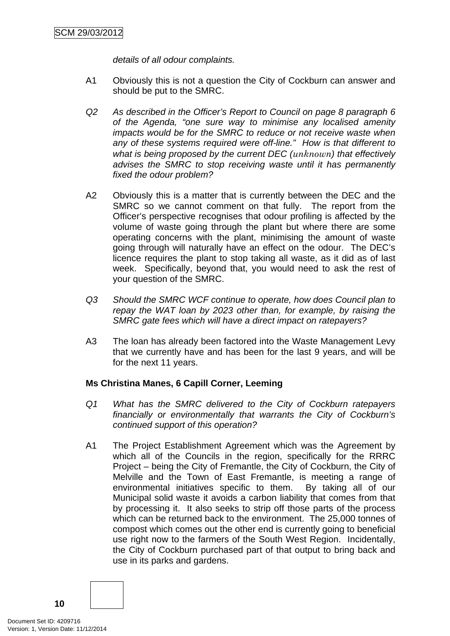*details of all odour complaints.* 

- A1 Obviously this is not a question the City of Cockburn can answer and should be put to the SMRC.
- *Q2 As described in the Officer's Report to Council on page 8 paragraph 6 of the Agenda, "one sure way to minimise any localised amenity impacts would be for the SMRC to reduce or not receive waste when any of these systems required were off-line." How is that different to what is being proposed by the current DEC (unknown) that effectively advises the SMRC to stop receiving waste until it has permanently fixed the odour problem?*
- A2 Obviously this is a matter that is currently between the DEC and the SMRC so we cannot comment on that fully. The report from the Officer's perspective recognises that odour profiling is affected by the volume of waste going through the plant but where there are some operating concerns with the plant, minimising the amount of waste going through will naturally have an effect on the odour. The DEC's licence requires the plant to stop taking all waste, as it did as of last week. Specifically, beyond that, you would need to ask the rest of your question of the SMRC.
- *Q3 Should the SMRC WCF continue to operate, how does Council plan to repay the WAT loan by 2023 other than, for example, by raising the SMRC gate fees which will have a direct impact on ratepayers?*
- A3 The loan has already been factored into the Waste Management Levy that we currently have and has been for the last 9 years, and will be for the next 11 years.

# **Ms Christina Manes, 6 Capill Corner, Leeming**

- *Q1 What has the SMRC delivered to the City of Cockburn ratepayers financially or environmentally that warrants the City of Cockburn's continued support of this operation?*
- A1 The Project Establishment Agreement which was the Agreement by which all of the Councils in the region, specifically for the RRRC Project – being the City of Fremantle, the City of Cockburn, the City of Melville and the Town of East Fremantle, is meeting a range of environmental initiatives specific to them. By taking all of our Municipal solid waste it avoids a carbon liability that comes from that by processing it. It also seeks to strip off those parts of the process which can be returned back to the environment. The 25,000 tonnes of compost which comes out the other end is currently going to beneficial use right now to the farmers of the South West Region. Incidentally, the City of Cockburn purchased part of that output to bring back and use in its parks and gardens.

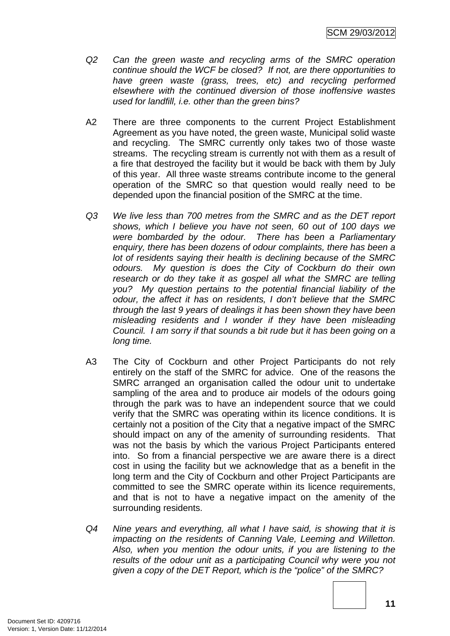- *Q2 Can the green waste and recycling arms of the SMRC operation continue should the WCF be closed? If not, are there opportunities to have green waste (grass, trees, etc) and recycling performed elsewhere with the continued diversion of those inoffensive wastes used for landfill, i.e. other than the green bins?*
- A2 There are three components to the current Project Establishment Agreement as you have noted, the green waste, Municipal solid waste and recycling. The SMRC currently only takes two of those waste streams. The recycling stream is currently not with them as a result of a fire that destroyed the facility but it would be back with them by July of this year. All three waste streams contribute income to the general operation of the SMRC so that question would really need to be depended upon the financial position of the SMRC at the time.
- *Q3 We live less than 700 metres from the SMRC and as the DET report shows, which I believe you have not seen, 60 out of 100 days we were bombarded by the odour. There has been a Parliamentary enquiry, there has been dozens of odour complaints, there has been a lot of residents saying their health is declining because of the SMRC odours. My question is does the City of Cockburn do their own research or do they take it as gospel all what the SMRC are telling you? My question pertains to the potential financial liability of the odour, the affect it has on residents, I don't believe that the SMRC through the last 9 years of dealings it has been shown they have been misleading residents and I wonder if they have been misleading Council. I am sorry if that sounds a bit rude but it has been going on a long time.*
- A3 The City of Cockburn and other Project Participants do not rely entirely on the staff of the SMRC for advice. One of the reasons the SMRC arranged an organisation called the odour unit to undertake sampling of the area and to produce air models of the odours going through the park was to have an independent source that we could verify that the SMRC was operating within its licence conditions. It is certainly not a position of the City that a negative impact of the SMRC should impact on any of the amenity of surrounding residents. That was not the basis by which the various Project Participants entered into. So from a financial perspective we are aware there is a direct cost in using the facility but we acknowledge that as a benefit in the long term and the City of Cockburn and other Project Participants are committed to see the SMRC operate within its licence requirements, and that is not to have a negative impact on the amenity of the surrounding residents.
- *Q4 Nine years and everything, all what I have said, is showing that it is impacting on the residents of Canning Vale, Leeming and Willetton. Also, when you mention the odour units, if you are listening to the results of the odour unit as a participating Council why were you not given a copy of the DET Report, which is the "police" of the SMRC?*

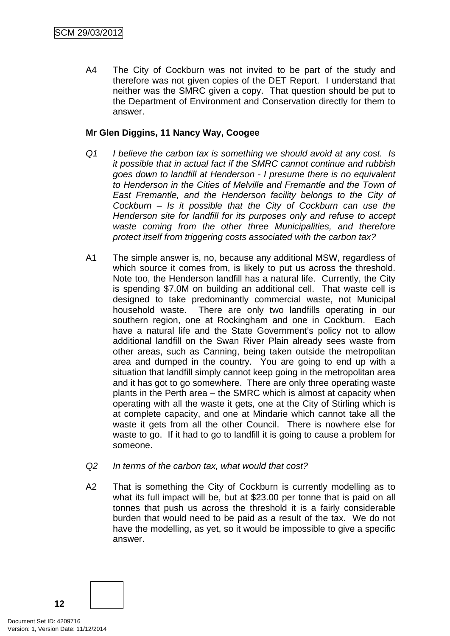A4 The City of Cockburn was not invited to be part of the study and therefore was not given copies of the DET Report. I understand that neither was the SMRC given a copy. That question should be put to the Department of Environment and Conservation directly for them to answer.

#### **Mr Glen Diggins, 11 Nancy Way, Coogee**

- *Q1 I believe the carbon tax is something we should avoid at any cost. Is it possible that in actual fact if the SMRC cannot continue and rubbish goes down to landfill at Henderson - I presume there is no equivalent to Henderson in the Cities of Melville and Fremantle and the Town of East Fremantle, and the Henderson facility belongs to the City of Cockburn – Is it possible that the City of Cockburn can use the Henderson site for landfill for its purposes only and refuse to accept waste coming from the other three Municipalities, and therefore protect itself from triggering costs associated with the carbon tax?*
- A1 The simple answer is, no, because any additional MSW, regardless of which source it comes from, is likely to put us across the threshold. Note too, the Henderson landfill has a natural life. Currently, the City is spending \$7.0M on building an additional cell. That waste cell is designed to take predominantly commercial waste, not Municipal household waste. There are only two landfills operating in our southern region, one at Rockingham and one in Cockburn. Each have a natural life and the State Government's policy not to allow additional landfill on the Swan River Plain already sees waste from other areas, such as Canning, being taken outside the metropolitan area and dumped in the country. You are going to end up with a situation that landfill simply cannot keep going in the metropolitan area and it has got to go somewhere. There are only three operating waste plants in the Perth area – the SMRC which is almost at capacity when operating with all the waste it gets, one at the City of Stirling which is at complete capacity, and one at Mindarie which cannot take all the waste it gets from all the other Council. There is nowhere else for waste to go. If it had to go to landfill it is going to cause a problem for someone.
- *Q2 In terms of the carbon tax, what would that cost?*
- A2 That is something the City of Cockburn is currently modelling as to what its full impact will be, but at \$23.00 per tonne that is paid on all tonnes that push us across the threshold it is a fairly considerable burden that would need to be paid as a result of the tax. We do not have the modelling, as yet, so it would be impossible to give a specific answer.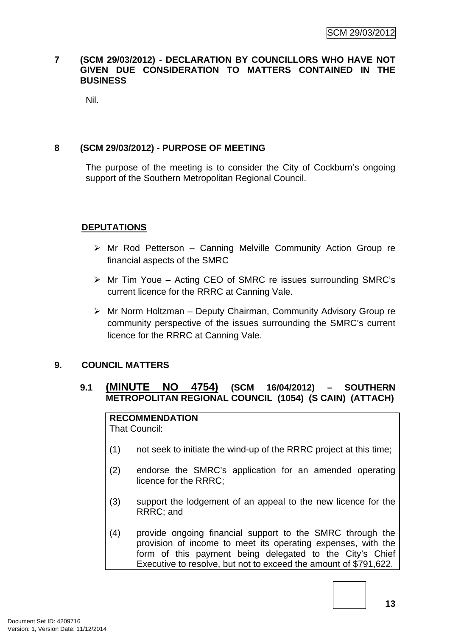# **7 (SCM 29/03/2012) - DECLARATION BY COUNCILLORS WHO HAVE NOT GIVEN DUE CONSIDERATION TO MATTERS CONTAINED IN THE BUSINESS**

Nil.

# **8 (SCM 29/03/2012) - PURPOSE OF MEETING**

The purpose of the meeting is to consider the City of Cockburn's ongoing support of the Southern Metropolitan Regional Council.

# **DEPUTATIONS**

- $\triangleright$  Mr Rod Petterson Canning Melville Community Action Group re financial aspects of the SMRC
- ¾ Mr Tim Youe Acting CEO of SMRC re issues surrounding SMRC's current licence for the RRRC at Canning Vale.
- ¾ Mr Norm Holtzman Deputy Chairman, Community Advisory Group re community perspective of the issues surrounding the SMRC's current licence for the RRRC at Canning Vale.

# **9. COUNCIL MATTERS**

# **9.1 (MINUTE NO 4754) (SCM 16/04/2012) – SOUTHERN METROPOLITAN REGIONAL COUNCIL (1054) (S CAIN) (ATTACH)**

**RECOMMENDATION** That Council:

- (1) not seek to initiate the wind-up of the RRRC project at this time;
- (2) endorse the SMRC's application for an amended operating licence for the RRRC;
- (3) support the lodgement of an appeal to the new licence for the RRRC; and
- (4) provide ongoing financial support to the SMRC through the provision of income to meet its operating expenses, with the form of this payment being delegated to the City's Chief Executive to resolve, but not to exceed the amount of \$791,622.

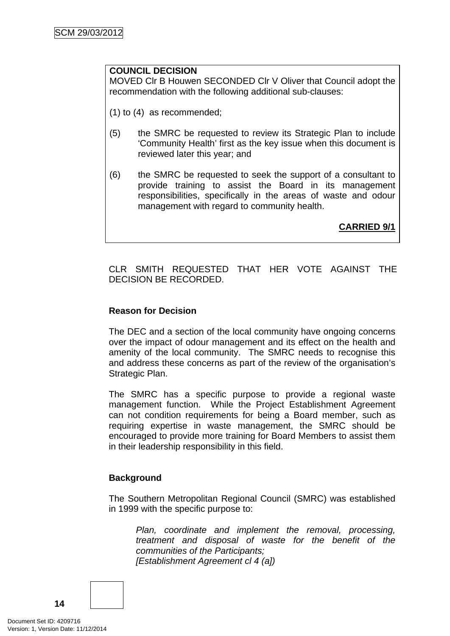# **COUNCIL DECISION**

MOVED Clr B Houwen SECONDED Clr V Oliver that Council adopt the recommendation with the following additional sub-clauses:

- (1) to (4) as recommended;
- (5) the SMRC be requested to review its Strategic Plan to include 'Community Health' first as the key issue when this document is reviewed later this year; and
- (6) the SMRC be requested to seek the support of a consultant to provide training to assist the Board in its management responsibilities, specifically in the areas of waste and odour management with regard to community health.

**CARRIED 9/1**

CLR SMITH REQUESTED THAT HER VOTE AGAINST THE DECISION BE RECORDED.

#### **Reason for Decision**

The DEC and a section of the local community have ongoing concerns over the impact of odour management and its effect on the health and amenity of the local community. The SMRC needs to recognise this and address these concerns as part of the review of the organisation's Strategic Plan.

The SMRC has a specific purpose to provide a regional waste management function. While the Project Establishment Agreement can not condition requirements for being a Board member, such as requiring expertise in waste management, the SMRC should be encouraged to provide more training for Board Members to assist them in their leadership responsibility in this field.

# **Background**

The Southern Metropolitan Regional Council (SMRC) was established in 1999 with the specific purpose to:

*Plan, coordinate and implement the removal, processing, treatment and disposal of waste for the benefit of the communities of the Participants; [Establishment Agreement cl 4 (a])* 

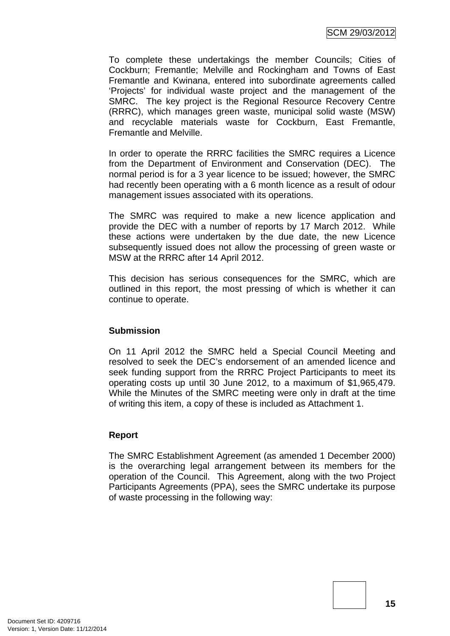SCM 29/03/2012

To complete these undertakings the member Councils; Cities of Cockburn; Fremantle; Melville and Rockingham and Towns of East Fremantle and Kwinana, entered into subordinate agreements called 'Projects' for individual waste project and the management of the SMRC. The key project is the Regional Resource Recovery Centre (RRRC), which manages green waste, municipal solid waste (MSW) and recyclable materials waste for Cockburn, East Fremantle, Fremantle and Melville.

In order to operate the RRRC facilities the SMRC requires a Licence from the Department of Environment and Conservation (DEC). The normal period is for a 3 year licence to be issued; however, the SMRC had recently been operating with a 6 month licence as a result of odour management issues associated with its operations.

The SMRC was required to make a new licence application and provide the DEC with a number of reports by 17 March 2012. While these actions were undertaken by the due date, the new Licence subsequently issued does not allow the processing of green waste or MSW at the RRRC after 14 April 2012.

This decision has serious consequences for the SMRC, which are outlined in this report, the most pressing of which is whether it can continue to operate.

# **Submission**

On 11 April 2012 the SMRC held a Special Council Meeting and resolved to seek the DEC's endorsement of an amended licence and seek funding support from the RRRC Project Participants to meet its operating costs up until 30 June 2012, to a maximum of \$1,965,479. While the Minutes of the SMRC meeting were only in draft at the time of writing this item, a copy of these is included as Attachment 1.

# **Report**

The SMRC Establishment Agreement (as amended 1 December 2000) is the overarching legal arrangement between its members for the operation of the Council. This Agreement, along with the two Project Participants Agreements (PPA), sees the SMRC undertake its purpose of waste processing in the following way: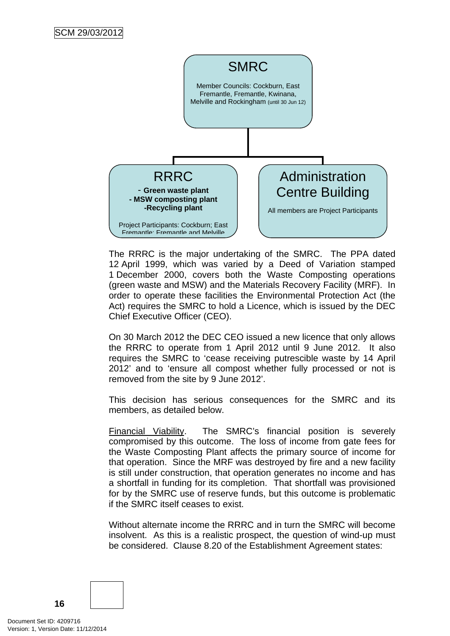

The RRRC is the major undertaking of the SMRC. The PPA dated 12 April 1999, which was varied by a Deed of Variation stamped 1 December 2000, covers both the Waste Composting operations (green waste and MSW) and the Materials Recovery Facility (MRF). In order to operate these facilities the Environmental Protection Act (the Act) requires the SMRC to hold a Licence, which is issued by the DEC Chief Executive Officer (CEO).

On 30 March 2012 the DEC CEO issued a new licence that only allows the RRRC to operate from 1 April 2012 until 9 June 2012. It also requires the SMRC to 'cease receiving putrescible waste by 14 April 2012' and to 'ensure all compost whether fully processed or not is removed from the site by 9 June 2012'.

This decision has serious consequences for the SMRC and its members, as detailed below.

Financial Viability. The SMRC's financial position is severely compromised by this outcome. The loss of income from gate fees for the Waste Composting Plant affects the primary source of income for that operation. Since the MRF was destroyed by fire and a new facility is still under construction, that operation generates no income and has a shortfall in funding for its completion. That shortfall was provisioned for by the SMRC use of reserve funds, but this outcome is problematic if the SMRC itself ceases to exist.

Without alternate income the RRRC and in turn the SMRC will become insolvent. As this is a realistic prospect, the question of wind-up must be considered. Clause 8.20 of the Establishment Agreement states:

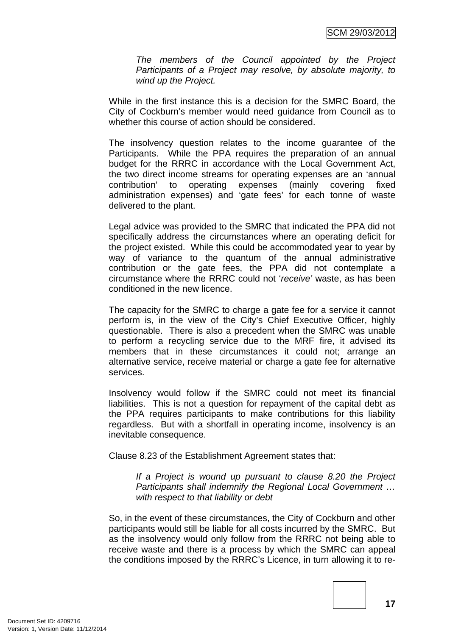*The members of the Council appointed by the Project Participants of a Project may resolve, by absolute majority, to wind up the Project.* 

While in the first instance this is a decision for the SMRC Board, the City of Cockburn's member would need guidance from Council as to whether this course of action should be considered.

The insolvency question relates to the income guarantee of the Participants. While the PPA requires the preparation of an annual budget for the RRRC in accordance with the Local Government Act, the two direct income streams for operating expenses are an 'annual contribution' to operating expenses (mainly covering fixed administration expenses) and 'gate fees' for each tonne of waste delivered to the plant.

Legal advice was provided to the SMRC that indicated the PPA did not specifically address the circumstances where an operating deficit for the project existed. While this could be accommodated year to year by way of variance to the quantum of the annual administrative contribution or the gate fees, the PPA did not contemplate a circumstance where the RRRC could not '*receive'* waste, as has been conditioned in the new licence.

The capacity for the SMRC to charge a gate fee for a service it cannot perform is, in the view of the City's Chief Executive Officer, highly questionable. There is also a precedent when the SMRC was unable to perform a recycling service due to the MRF fire, it advised its members that in these circumstances it could not; arrange an alternative service, receive material or charge a gate fee for alternative services.

Insolvency would follow if the SMRC could not meet its financial liabilities. This is not a question for repayment of the capital debt as the PPA requires participants to make contributions for this liability regardless. But with a shortfall in operating income, insolvency is an inevitable consequence.

Clause 8.23 of the Establishment Agreement states that:

*If a Project is wound up pursuant to clause 8.20 the Project Participants shall indemnify the Regional Local Government … with respect to that liability or debt* 

So, in the event of these circumstances, the City of Cockburn and other participants would still be liable for all costs incurred by the SMRC. But as the insolvency would only follow from the RRRC not being able to receive waste and there is a process by which the SMRC can appeal the conditions imposed by the RRRC's Licence, in turn allowing it to re-

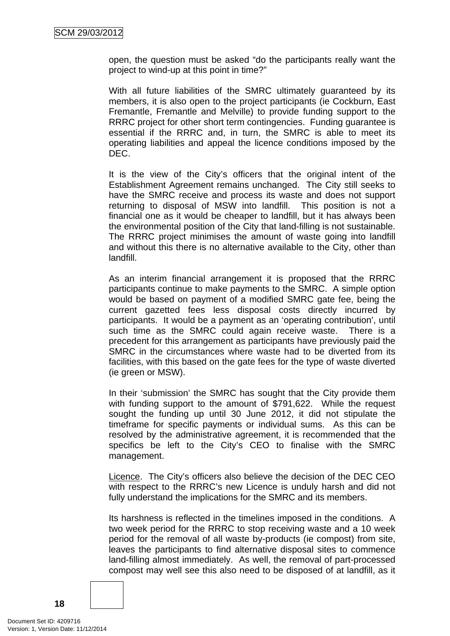open, the question must be asked "do the participants really want the project to wind-up at this point in time?"

With all future liabilities of the SMRC ultimately guaranteed by its members, it is also open to the project participants (ie Cockburn, East Fremantle, Fremantle and Melville) to provide funding support to the RRRC project for other short term contingencies. Funding quarantee is essential if the RRRC and, in turn, the SMRC is able to meet its operating liabilities and appeal the licence conditions imposed by the DEC.

It is the view of the City's officers that the original intent of the Establishment Agreement remains unchanged. The City still seeks to have the SMRC receive and process its waste and does not support returning to disposal of MSW into landfill. This position is not a financial one as it would be cheaper to landfill, but it has always been the environmental position of the City that land-filling is not sustainable. The RRRC project minimises the amount of waste going into landfill and without this there is no alternative available to the City, other than landfill.

As an interim financial arrangement it is proposed that the RRRC participants continue to make payments to the SMRC. A simple option would be based on payment of a modified SMRC gate fee, being the current gazetted fees less disposal costs directly incurred by participants. It would be a payment as an 'operating contribution', until such time as the SMRC could again receive waste. There is a precedent for this arrangement as participants have previously paid the SMRC in the circumstances where waste had to be diverted from its facilities, with this based on the gate fees for the type of waste diverted (ie green or MSW).

In their 'submission' the SMRC has sought that the City provide them with funding support to the amount of \$791,622. While the request sought the funding up until 30 June 2012, it did not stipulate the timeframe for specific payments or individual sums. As this can be resolved by the administrative agreement, it is recommended that the specifics be left to the City's CEO to finalise with the SMRC management.

Licence. The City's officers also believe the decision of the DEC CEO with respect to the RRRC's new Licence is unduly harsh and did not fully understand the implications for the SMRC and its members.

Its harshness is reflected in the timelines imposed in the conditions. A two week period for the RRRC to stop receiving waste and a 10 week period for the removal of all waste by-products (ie compost) from site, leaves the participants to find alternative disposal sites to commence land-filling almost immediately. As well, the removal of part-processed compost may well see this also need to be disposed of at landfill, as it

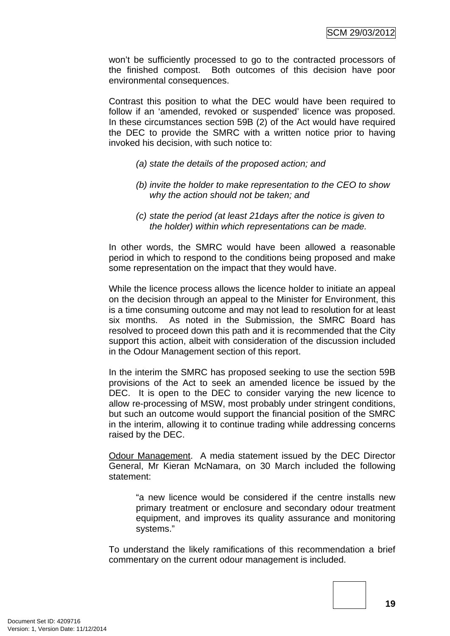won't be sufficiently processed to go to the contracted processors of the finished compost. Both outcomes of this decision have poor environmental consequences.

Contrast this position to what the DEC would have been required to follow if an 'amended, revoked or suspended' licence was proposed. In these circumstances section 59B (2) of the Act would have required the DEC to provide the SMRC with a written notice prior to having invoked his decision, with such notice to:

- *(a) state the details of the proposed action; and*
- *(b) invite the holder to make representation to the CEO to show why the action should not be taken; and*
- *(c) state the period (at least 21days after the notice is given to the holder) within which representations can be made.*

In other words, the SMRC would have been allowed a reasonable period in which to respond to the conditions being proposed and make some representation on the impact that they would have.

While the licence process allows the licence holder to initiate an appeal on the decision through an appeal to the Minister for Environment, this is a time consuming outcome and may not lead to resolution for at least six months. As noted in the Submission, the SMRC Board has resolved to proceed down this path and it is recommended that the City support this action, albeit with consideration of the discussion included in the Odour Management section of this report.

In the interim the SMRC has proposed seeking to use the section 59B provisions of the Act to seek an amended licence be issued by the DEC. It is open to the DEC to consider varying the new licence to allow re-processing of MSW, most probably under stringent conditions, but such an outcome would support the financial position of the SMRC in the interim, allowing it to continue trading while addressing concerns raised by the DEC.

Odour Management. A media statement issued by the DEC Director General, Mr Kieran McNamara, on 30 March included the following statement:

 "a new licence would be considered if the centre installs new primary treatment or enclosure and secondary odour treatment equipment, and improves its quality assurance and monitoring systems."

To understand the likely ramifications of this recommendation a brief commentary on the current odour management is included.

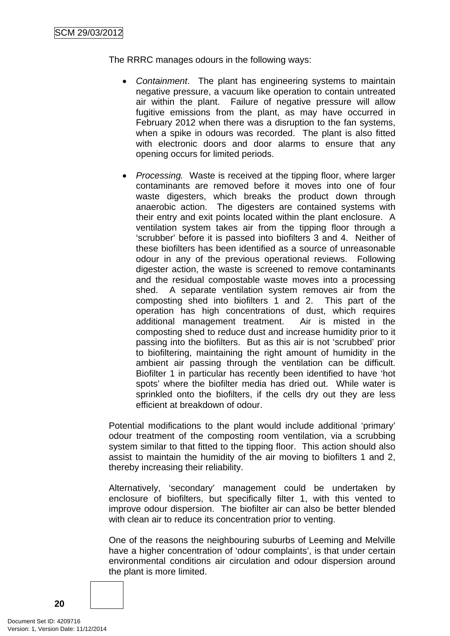The RRRC manages odours in the following ways:

- *Containment*. The plant has engineering systems to maintain negative pressure, a vacuum like operation to contain untreated air within the plant. Failure of negative pressure will allow fugitive emissions from the plant, as may have occurred in February 2012 when there was a disruption to the fan systems, when a spike in odours was recorded. The plant is also fitted with electronic doors and door alarms to ensure that any opening occurs for limited periods.
- *Processing.* Waste is received at the tipping floor, where larger contaminants are removed before it moves into one of four waste digesters, which breaks the product down through anaerobic action. The digesters are contained systems with their entry and exit points located within the plant enclosure. A ventilation system takes air from the tipping floor through a 'scrubber' before it is passed into biofilters 3 and 4. Neither of these biofilters has been identified as a source of unreasonable odour in any of the previous operational reviews. Following digester action, the waste is screened to remove contaminants and the residual compostable waste moves into a processing shed. A separate ventilation system removes air from the composting shed into biofilters 1 and 2. This part of the operation has high concentrations of dust, which requires additional management treatment. Air is misted in the composting shed to reduce dust and increase humidity prior to it passing into the biofilters. But as this air is not 'scrubbed' prior to biofiltering, maintaining the right amount of humidity in the ambient air passing through the ventilation can be difficult. Biofilter 1 in particular has recently been identified to have 'hot spots' where the biofilter media has dried out. While water is sprinkled onto the biofilters, if the cells dry out they are less efficient at breakdown of odour.

Potential modifications to the plant would include additional 'primary' odour treatment of the composting room ventilation, via a scrubbing system similar to that fitted to the tipping floor. This action should also assist to maintain the humidity of the air moving to biofilters 1 and 2, thereby increasing their reliability.

Alternatively, 'secondary' management could be undertaken by enclosure of biofilters, but specifically filter 1, with this vented to improve odour dispersion. The biofilter air can also be better blended with clean air to reduce its concentration prior to venting.

One of the reasons the neighbouring suburbs of Leeming and Melville have a higher concentration of 'odour complaints', is that under certain environmental conditions air circulation and odour dispersion around the plant is more limited.

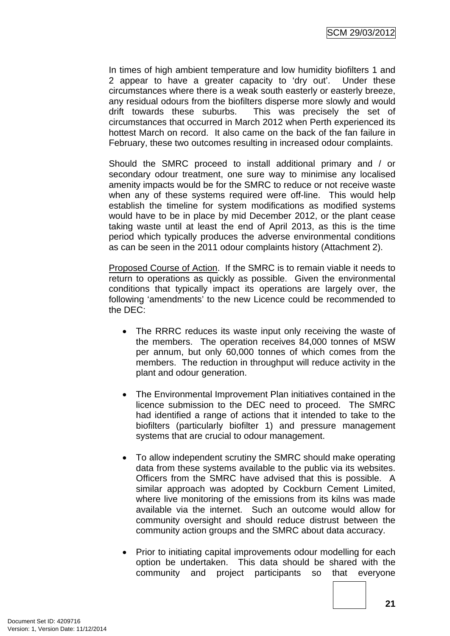In times of high ambient temperature and low humidity biofilters 1 and 2 appear to have a greater capacity to 'dry out'. Under these circumstances where there is a weak south easterly or easterly breeze, any residual odours from the biofilters disperse more slowly and would drift towards these suburbs. This was precisely the set of circumstances that occurred in March 2012 when Perth experienced its hottest March on record. It also came on the back of the fan failure in February, these two outcomes resulting in increased odour complaints.

Should the SMRC proceed to install additional primary and / or secondary odour treatment, one sure way to minimise any localised amenity impacts would be for the SMRC to reduce or not receive waste when any of these systems required were off-line. This would help establish the timeline for system modifications as modified systems would have to be in place by mid December 2012, or the plant cease taking waste until at least the end of April 2013, as this is the time period which typically produces the adverse environmental conditions as can be seen in the 2011 odour complaints history (Attachment 2).

Proposed Course of Action. If the SMRC is to remain viable it needs to return to operations as quickly as possible. Given the environmental conditions that typically impact its operations are largely over, the following 'amendments' to the new Licence could be recommended to the DEC:

- The RRRC reduces its waste input only receiving the waste of the members. The operation receives 84,000 tonnes of MSW per annum, but only 60,000 tonnes of which comes from the members. The reduction in throughput will reduce activity in the plant and odour generation.
- The Environmental Improvement Plan initiatives contained in the licence submission to the DEC need to proceed. The SMRC had identified a range of actions that it intended to take to the biofilters (particularly biofilter 1) and pressure management systems that are crucial to odour management.
- To allow independent scrutiny the SMRC should make operating data from these systems available to the public via its websites. Officers from the SMRC have advised that this is possible. A similar approach was adopted by Cockburn Cement Limited, where live monitoring of the emissions from its kilns was made available via the internet. Such an outcome would allow for community oversight and should reduce distrust between the community action groups and the SMRC about data accuracy.
- Prior to initiating capital improvements odour modelling for each option be undertaken. This data should be shared with the community and project participants so that everyone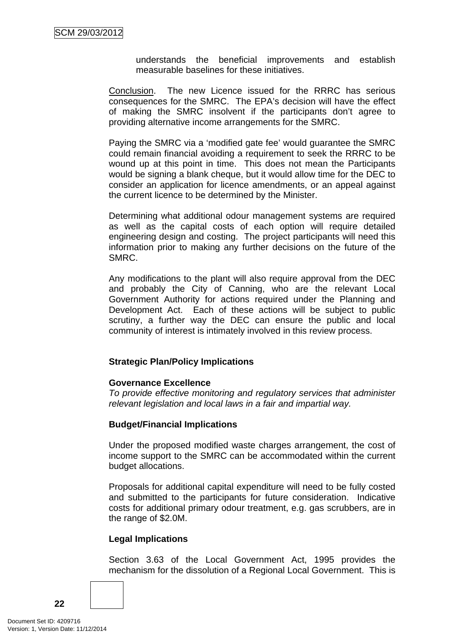understands the beneficial improvements and establish measurable baselines for these initiatives.

Conclusion. The new Licence issued for the RRRC has serious consequences for the SMRC. The EPA's decision will have the effect of making the SMRC insolvent if the participants don't agree to providing alternative income arrangements for the SMRC.

Paying the SMRC via a 'modified gate fee' would guarantee the SMRC could remain financial avoiding a requirement to seek the RRRC to be wound up at this point in time. This does not mean the Participants would be signing a blank cheque, but it would allow time for the DEC to consider an application for licence amendments, or an appeal against the current licence to be determined by the Minister.

Determining what additional odour management systems are required as well as the capital costs of each option will require detailed engineering design and costing. The project participants will need this information prior to making any further decisions on the future of the SMRC.

Any modifications to the plant will also require approval from the DEC and probably the City of Canning, who are the relevant Local Government Authority for actions required under the Planning and Development Act. Each of these actions will be subject to public scrutiny, a further way the DEC can ensure the public and local community of interest is intimately involved in this review process.

# **Strategic Plan/Policy Implications**

#### **Governance Excellence**

*To provide effective monitoring and regulatory services that administer relevant legislation and local laws in a fair and impartial way.* 

#### **Budget/Financial Implications**

Under the proposed modified waste charges arrangement, the cost of income support to the SMRC can be accommodated within the current budget allocations.

Proposals for additional capital expenditure will need to be fully costed and submitted to the participants for future consideration. Indicative costs for additional primary odour treatment, e.g. gas scrubbers, are in the range of \$2.0M.

# **Legal Implications**

Section 3.63 of the Local Government Act, 1995 provides the mechanism for the dissolution of a Regional Local Government. This is

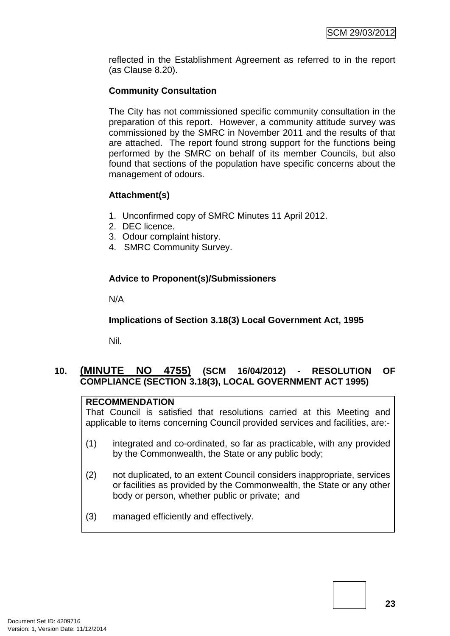reflected in the Establishment Agreement as referred to in the report (as Clause 8.20).

# **Community Consultation**

The City has not commissioned specific community consultation in the preparation of this report. However, a community attitude survey was commissioned by the SMRC in November 2011 and the results of that are attached. The report found strong support for the functions being performed by the SMRC on behalf of its member Councils, but also found that sections of the population have specific concerns about the management of odours.

# **Attachment(s)**

- 1. Unconfirmed copy of SMRC Minutes 11 April 2012.
- 2. DEC licence.
- 3. Odour complaint history.
- 4. SMRC Community Survey.

# **Advice to Proponent(s)/Submissioners**

N/A

# **Implications of Section 3.18(3) Local Government Act, 1995**

Nil.

# **10. (MINUTE NO 4755) (SCM 16/04/2012) - RESOLUTION OF COMPLIANCE (SECTION 3.18(3), LOCAL GOVERNMENT ACT 1995)**

# **RECOMMENDATION**

That Council is satisfied that resolutions carried at this Meeting and applicable to items concerning Council provided services and facilities, are:-

- (1) integrated and co-ordinated, so far as practicable, with any provided by the Commonwealth, the State or any public body;
- (2) not duplicated, to an extent Council considers inappropriate, services or facilities as provided by the Commonwealth, the State or any other body or person, whether public or private; and
- (3) managed efficiently and effectively.